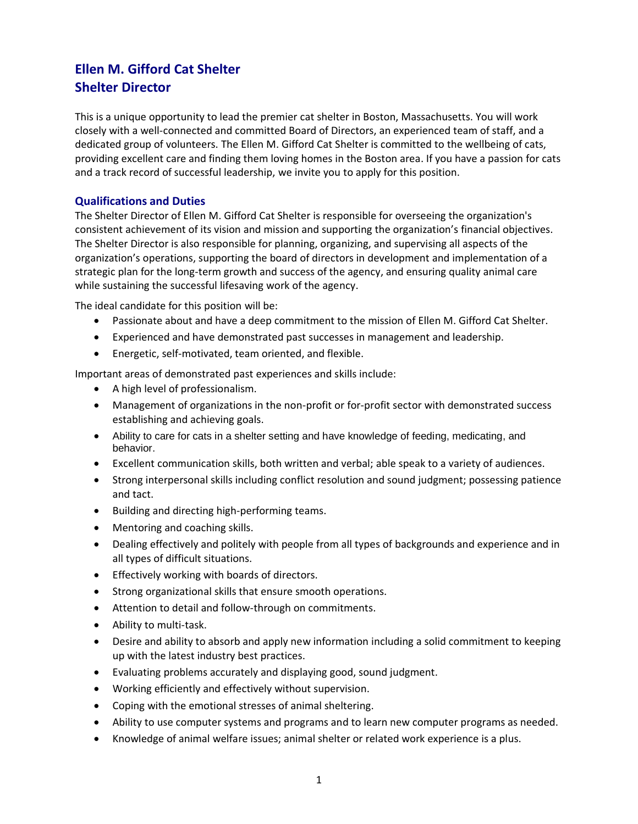# **Ellen M. Gifford Cat Shelter Shelter Director**

This is a unique opportunity to lead the premier cat shelter in Boston, Massachusetts. You will work closely with a well-connected and committed Board of Directors, an experienced team of staff, and a dedicated group of volunteers. The Ellen M. Gifford Cat Shelter is committed to the wellbeing of cats, providing excellent care and finding them loving homes in the Boston area. If you have a passion for cats and a track record of successful leadership, we invite you to apply for this position.

# **Qualifications and Duties**

The Shelter Director of Ellen M. Gifford Cat Shelter is responsible for overseeing the organization's consistent achievement of its vision and mission and supporting the organization's financial objectives. The Shelter Director is also responsible for planning, organizing, and supervising all aspects of the organization's operations, supporting the board of directors in development and implementation of a strategic plan for the long-term growth and success of the agency, and ensuring quality animal care while sustaining the successful lifesaving work of the agency.

The ideal candidate for this position will be:

- Passionate about and have a deep commitment to the mission of Ellen M. Gifford Cat Shelter.
- Experienced and have demonstrated past successes in management and leadership.
- Energetic, self-motivated, team oriented, and flexible.

Important areas of demonstrated past experiences and skills include:

- A high level of professionalism.
- Management of organizations in the non-profit or for-profit sector with demonstrated success establishing and achieving goals.
- Ability to care for cats in a shelter setting and have knowledge of feeding, medicating, and behavior.
- Excellent communication skills, both written and verbal; able speak to a variety of audiences.
- Strong interpersonal skills including conflict resolution and sound judgment; possessing patience and tact.
- Building and directing high-performing teams.
- Mentoring and coaching skills.
- Dealing effectively and politely with people from all types of backgrounds and experience and in all types of difficult situations.
- Effectively working with boards of directors.
- Strong organizational skills that ensure smooth operations.
- Attention to detail and follow-through on commitments.
- Ability to multi-task.
- Desire and ability to absorb and apply new information including a solid commitment to keeping up with the latest industry best practices.
- Evaluating problems accurately and displaying good, sound judgment.
- Working efficiently and effectively without supervision.
- Coping with the emotional stresses of animal sheltering.
- Ability to use computer systems and programs and to learn new computer programs as needed.
- Knowledge of animal welfare issues; animal shelter or related work experience is a plus.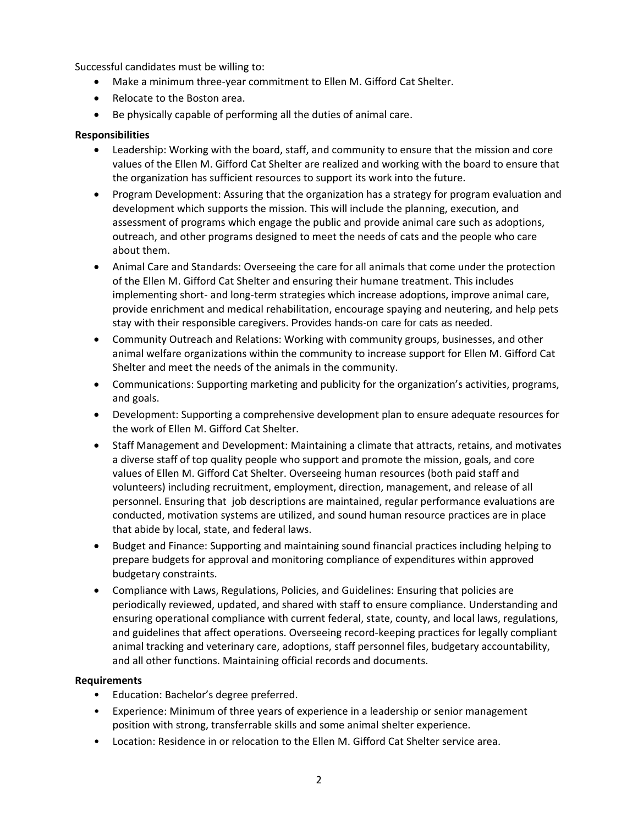Successful candidates must be willing to:

- Make a minimum three-year commitment to Ellen M. Gifford Cat Shelter.
- Relocate to the Boston area.
- Be physically capable of performing all the duties of animal care.

## **Responsibilities**

- Leadership: Working with the board, staff, and community to ensure that the mission and core values of the Ellen M. Gifford Cat Shelter are realized and working with the board to ensure that the organization has sufficient resources to support its work into the future.
- Program Development: Assuring that the organization has a strategy for program evaluation and development which supports the mission. This will include the planning, execution, and assessment of programs which engage the public and provide animal care such as adoptions, outreach, and other programs designed to meet the needs of cats and the people who care about them.
- Animal Care and Standards: Overseeing the care for all animals that come under the protection of the Ellen M. Gifford Cat Shelter and ensuring their humane treatment. This includes implementing short- and long-term strategies which increase adoptions, improve animal care, provide enrichment and medical rehabilitation, encourage spaying and neutering, and help pets stay with their responsible caregivers. Provides hands-on care for cats as needed.
- Community Outreach and Relations: Working with community groups, businesses, and other animal welfare organizations within the community to increase support for Ellen M. Gifford Cat Shelter and meet the needs of the animals in the community.
- Communications: Supporting marketing and publicity for the organization's activities, programs, and goals.
- Development: Supporting a comprehensive development plan to ensure adequate resources for the work of Ellen M. Gifford Cat Shelter.
- Staff Management and Development: Maintaining a climate that attracts, retains, and motivates a diverse staff of top quality people who support and promote the mission, goals, and core values of Ellen M. Gifford Cat Shelter. Overseeing human resources (both paid staff and volunteers) including recruitment, employment, direction, management, and release of all personnel. Ensuring that job descriptions are maintained, regular performance evaluations are conducted, motivation systems are utilized, and sound human resource practices are in place that abide by local, state, and federal laws.
- Budget and Finance: Supporting and maintaining sound financial practices including helping to prepare budgets for approval and monitoring compliance of expenditures within approved budgetary constraints.
- Compliance with Laws, Regulations, Policies, and Guidelines: Ensuring that policies are periodically reviewed, updated, and shared with staff to ensure compliance. Understanding and ensuring operational compliance with current federal, state, county, and local laws, regulations, and guidelines that affect operations. Overseeing record-keeping practices for legally compliant animal tracking and veterinary care, adoptions, staff personnel files, budgetary accountability, and all other functions. Maintaining official records and documents.

## **Requirements**

- Education: Bachelor's degree preferred.
- Experience: Minimum of three years of experience in a leadership or senior management position with strong, transferrable skills and some animal shelter experience.
- Location: Residence in or relocation to the Ellen M. Gifford Cat Shelter service area.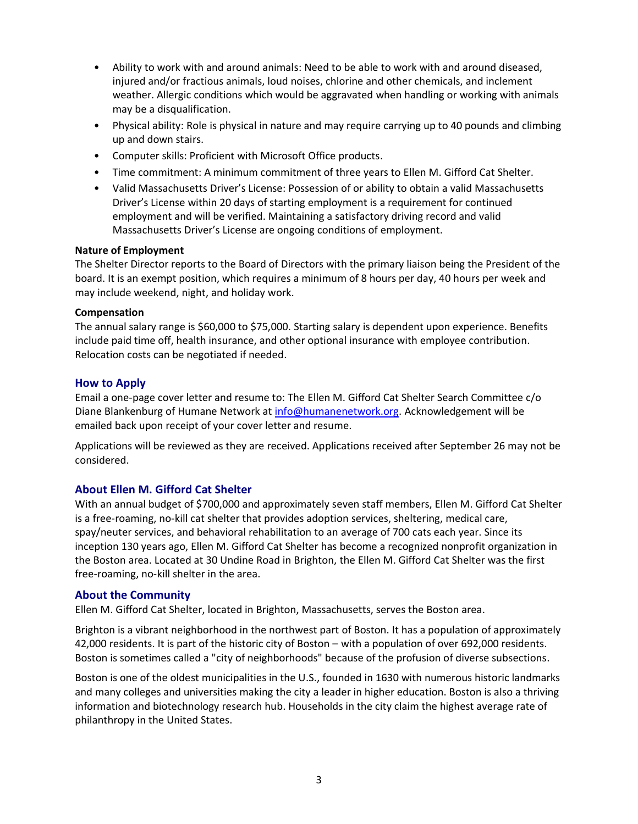- Ability to work with and around animals: Need to be able to work with and around diseased, injured and/or fractious animals, loud noises, chlorine and other chemicals, and inclement weather. Allergic conditions which would be aggravated when handling or working with animals may be a disqualification.
- Physical ability: Role is physical in nature and may require carrying up to 40 pounds and climbing up and down stairs.
- Computer skills: Proficient with Microsoft Office products.
- Time commitment: A minimum commitment of three years to Ellen M. Gifford Cat Shelter.
- Valid Massachusetts Driver's License: Possession of or ability to obtain a valid Massachusetts Driver's License within 20 days of starting employment is a requirement for continued employment and will be verified. Maintaining a satisfactory driving record and valid Massachusetts Driver's License are ongoing conditions of employment.

#### **Nature of Employment**

The Shelter Director reports to the Board of Directors with the primary liaison being the President of the board. It is an exempt position, which requires a minimum of 8 hours per day, 40 hours per week and may include weekend, night, and holiday work.

#### **Compensation**

The annual salary range is \$60,000 to \$75,000. Starting salary is dependent upon experience. Benefits include paid time off, health insurance, and other optional insurance with employee contribution. Relocation costs can be negotiated if needed.

# **How to Apply**

Email a one-page cover letter and resume to: The Ellen M. Gifford Cat Shelter Search Committee c/o Diane Blankenburg of Humane Network at [info@humanenetwork.org.](mailto:info@humanenetwork.org) Acknowledgement will be emailed back upon receipt of your cover letter and resume.

Applications will be reviewed as they are received. Applications received after September 26 may not be considered.

## **About Ellen M. Gifford Cat Shelter**

With an annual budget of \$700,000 and approximately seven staff members, Ellen M. Gifford Cat Shelter is a free-roaming, no-kill cat shelter that provides adoption services, sheltering, medical care, spay/neuter services, and behavioral rehabilitation to an average of 700 cats each year. Since its inception 130 years ago, Ellen M. Gifford Cat Shelter has become a recognized nonprofit organization in the Boston area. Located at 30 Undine Road in Brighton, the Ellen M. Gifford Cat Shelter was the first free-roaming, no-kill shelter in the area.

## **About the Community**

Ellen M. Gifford Cat Shelter, located in Brighton, Massachusetts, serves the Boston area.

Brighton is a vibrant neighborhood in the northwest part of Boston. It has a population of approximately 42,000 residents. It is part of the historic city of Boston – with a population of over 692,000 residents. Boston is sometimes called a "city of neighborhoods" because of the profusion of diverse subsections.

Boston is one of the oldest municipalities in the U.S., founded in 1630 with numerous historic landmarks and many colleges and universities making the city a leader in higher education. Boston is also a thriving information and biotechnology research hub. Households in the city claim the highest average rate of philanthropy in the United States.